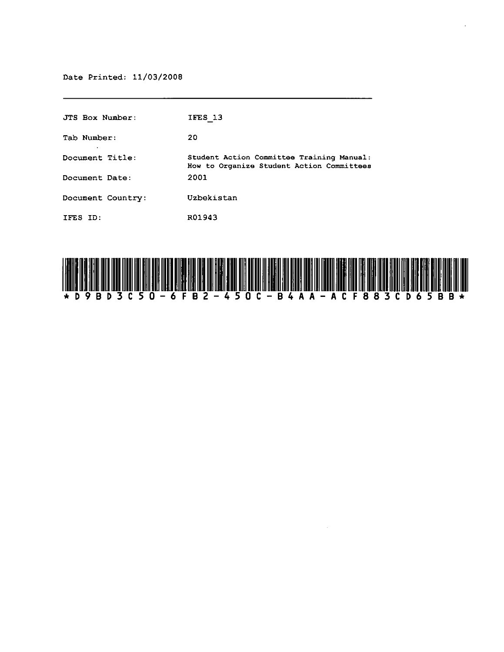| JTS Box Number:   | IFES 13                                                                                |
|-------------------|----------------------------------------------------------------------------------------|
| Tab Number:       | 20                                                                                     |
| Document Title:   | Student Action Committee Training Manual:<br>How to Organize Student Action Committees |
| Document Date:    | 2001                                                                                   |
| Document Country: | Uzbekistan                                                                             |
| IFES ID:          | R01943                                                                                 |



÷.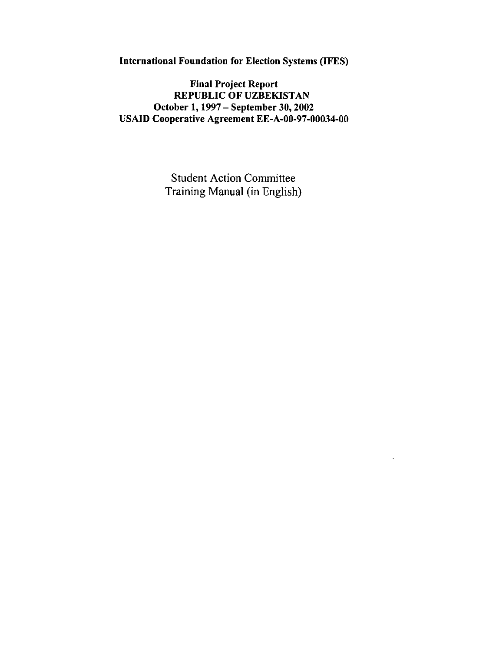International Foundation for Election Systems (IFES)

Final Project Report REPUBLIC OF UZBEKISTAN October 1, 1997 - September 30, 2002 USAID Cooperative Agreement EE-A-00-97-00034-00

> Student Action Committee Training Manual (in English)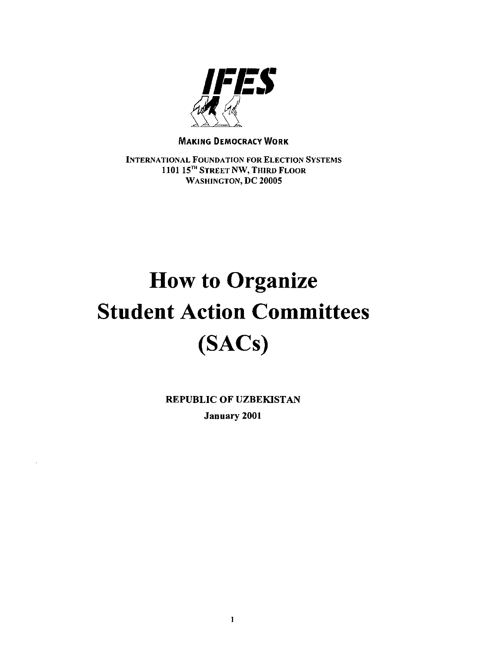

#### MAKING DEMOCRACY WORK

INTERNATIONAL FOUNDATION FOR ELECTION SYSTEMS 1101 15<sup>TH</sup> STREET NW, THIRD FLOOR WASHINGTON, DC 20005

# **How to Organize Student Action Committees (SACs)**

REPUBLIC OF UZBEKISTAN January 2001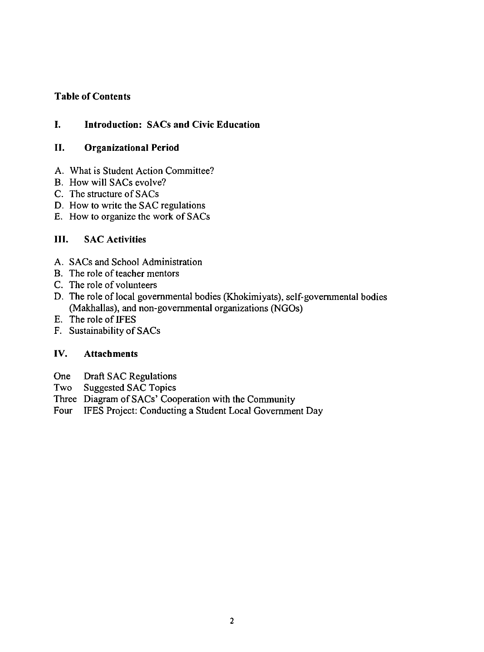## Table of Contents

## I. Introduction: SACs and Civic Education

## II. Organizational Period

- A. What is Student Action Committee?
- B. How will SACs evolve?
- C. The structure of SACs
- D. How to write the SAC regulations
- E. How to organize the work of SACs

## III. SAC Activities

- A. SACs and School Administration
- B. The role of teacher mentors
- C. The role of volunteers
- D. The role of local governmental bodies (Khokimiyats), self-governmental bodies (Makhallas), and non-governmental organizations (NGOs)
- E. The role of IFES
- F. Sustainability of SACs

## IV. Attachments

- Draft SAC Regulations One
- Suggested SAC Topics Two
- Three Diagram of SACs' Cooperation with the Community
- Four IFES Project: Conducting a Student Local Government Day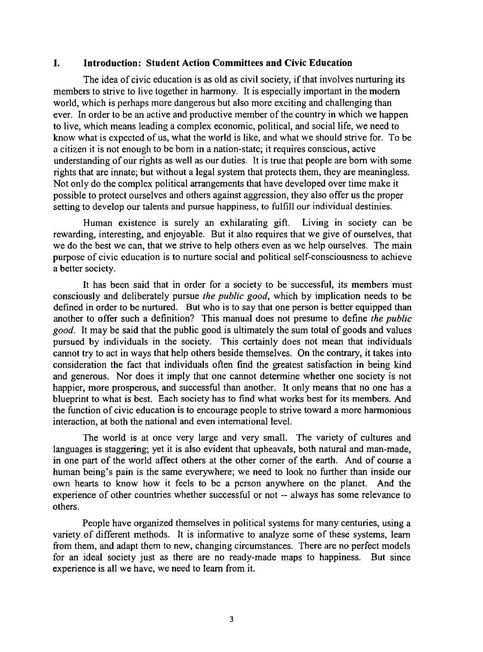#### **I. Introduction: Student Action Committees and Civic Education**

The idea of civic education is as old as civil society, if that involves nurturing its members to strive to live together in harmony. It is especially important in the modem world, which is perhaps more dangerous but also more exciting and challenging than ever. In order to be an active and productive member of the country in which we happen to live, which means leading a complex economic, political, and social life, we need to know what is expected of us, what the world is like, and what we should strive for. To be a citizen it is not enough to be born in a nation-state; it requires conscious, active understanding of our rights as well as our duties. It is true that people are born with some rights that are innate; but without a legal system that protects them, they are meaningless. Not only do the complex political arrangements that have developed over time make it possible to protect ourselves and others against aggression, they also offer us the proper setting to develop our talents and pursue happiness, to fulfill our individual destinies.

Human existence is surely an exhilarating gift. Living in society can be rewarding, interesting, and enjoyable. But it also requires that we give of ourselves, that we do the best we can, that we strive to help others even as we help ourselves. The main purpose of civic education is to nurture social and political self-consciousness to achieve a better society.

It has been said that in order for a society to be successful, its members must consciously and deliberately pursue *the public good,* which by implication needs to be defined in order to be nurtured. But who is to say that one person is better equipped than another to offer such a definition? This manual does not presume to define *the public good.* It may be said that the public good is ultimately the sum total of goods and values pursued by individuals in the society. This certainly does not mean that individuals cannot try to act in ways that help others beside themselves. On the contrary, it takes into consideration the fact that individuals often find the greatest satisfaction in being kind and generous. Nor does it imply that one cannot determine whether one society is not happier, more prosperous, and successful than another. It only means that no one has a blueprint to what is best. Each society has to find what works best for its members. And the function of civic education is to encourage people to strive toward a more harmonious interaction, at both the national and even international level.

The world is at once very large and very small. The variety of cultures and languages is staggering; yet it is also evident that upheavals, both natural and man-made, in one part of the world affect others at the other comer of the earth. And of course a human being's pain is the same everywhere; we need to look no further than inside our own hearts to know how it feels to be a person anywhere on the planet. And the experience of other countries whether successful or not -- always has some relevance to others.

People have organized themselves in political systems for many centuries, using a variety of different methods. It is informative to analyze some of these systems, learn from them, and adapt them to new, changing circumstances. There are no perfect models for an ideal society just as there are no ready-made maps to happiness. But since experience is all we have, we need to learn from it.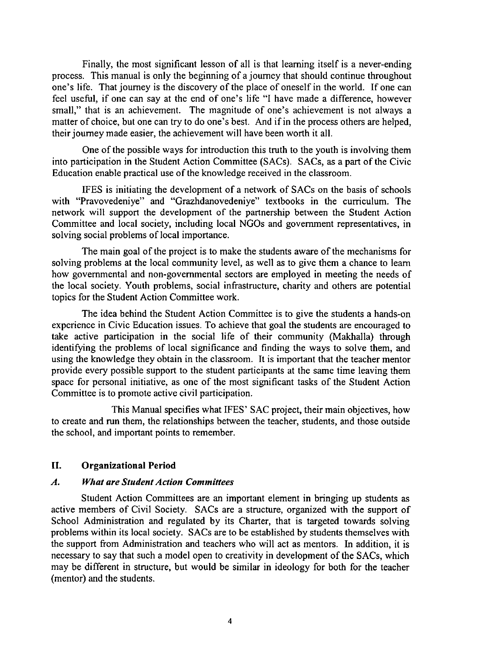Finally, the most significant lesson of all is that learning itself is a never-ending process. This manual is only the beginning of a journey that should continue throughout one's life. That journey is the discovery of the place of oneself in the world. If one can feel useful, if one can say at the end of one's life "I have made a difference, however small," that is an achievement. The magnitude of one's achievement is not always a matter of choice, but one can try to do one's best. And if in the process others are helped, their journey made easier, the achievement will have been worth it all.

One of the possible ways for introduction this truth to the youth is involving them into participation in the Student Action Committee (SACs). SACs, as a part of the Civic Education enable practical use of the knowledge received in the classroom.

IFES is initiating the development of a network of SACs on the basis of schools with "Pravovedeniye" and "Grazhdanovedeniye" textbooks in the curriculum. The network will support the development of the partnership between the Student Action Committee and local society, including local NGOs and government representatives, in solving social problems of local importance.

The main goal of the project is to make the students aware of the mechanisms for solving problems at the local community level, as well as to give them a chance to learn how governmental and non-governmental sectors are employed in meeting the needs of the local society. Youth problems, social infrastructure, charity and others are potential topics for the Student Action Committee work.

The idea behind the Student Action Committee is to give the students a hands-on experience in Civic Education issues. To achieve that goal the students are encouraged to take active participation in the social life of their community (Makhalla) through identifying the problems of local significance and finding the ways to solve them, and using the knowledge they obtain in the classroom. It is important that the teacher mentor provide every possible support to the student participants at the same time leaving them space for personal initiative, as one of the most significant tasks of the Student Action Committee is to promote active civil participation.

This Manual specifies what IFES' SAC project, their main objectives, how to create and run them, the relationships between the teacher, students, and those outside the school, and important points to remember.

#### II. Organizational Period

#### *A. What are Student Action Committees*

Student Action Committees are an important element in bringing up students as active members of Civil Society. SACs are a structure, organized with the support of School Administration and regulated by its Charter, that is targeted towards solving problems within its local society. SACs are to be established by students themselves with the support from Administration and teachers who will act as mentors. In addition, it is necessary to say that such a model open to creativity in development of the SACs, which may be different in structure, but would be similar in ideology for both for the teacher (mentor) and the students.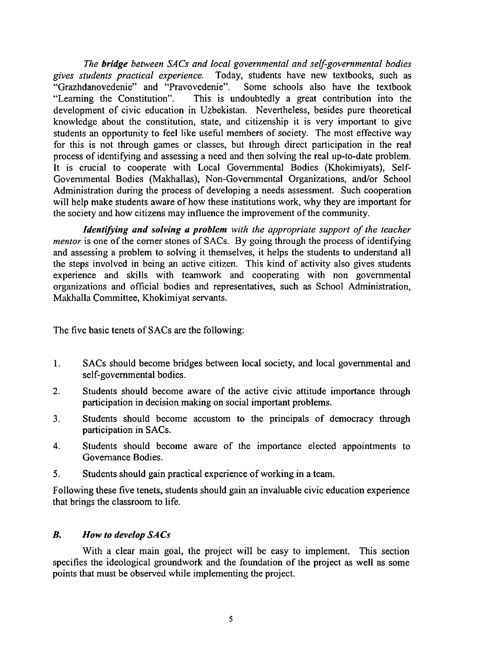*The bridge between SACs and local governmental and self-governmental bodies gives students practical experience.* Today, students have new textbooks, such as "Grazhdanovedenie" and "Pravovedenie". Some schools also have the textbook "Learning the Constitution". This is undoubtedly a great contribution into the This is undoubtedly a great contribution into the development of civic education in Uzbekistan. Nevertheless, besides pure theoretical knowledge about the constitution, state, and citizenship it is very important to give students an opportunity to feel like useful members of society. The most effective way for this is not through games or classes, but through direct participation in the real process of identifying and assessing a need and then solving the real up-to-date problem. It is crucial to cooperate with Local Governmental Bodies (Khokimiyats), Self-Governmental Bodies (Makhallas), Non-Governmental Organizations, and/or School Administration during the process of developing a needs assessment. Such cooperation will help make students aware of how these institutions work, why they are important for the society and how citizens may influence the improvement of the community.

*Identifying and solving a problem with the appropriate support of the teacher mentor* is one of the corner stones of SACs. By going through the process of identifying and assessing a problem to solving it themselves, it helps the students to understand all the steps involved in being an active citizen. This kind of activity also gives students experience and skills with teamwork and cooperating with non governmental organizations and official bodies and representatives, such as School Administration, Makhalla Committee, Khokimiyat servants.

The five basic tenets of SACs are the following:

- 1. SACs should become bridges between local society, and local governmental and self-governmental bodies.
- 2. Students should become aware of the active civic attitude importance through participation in decision making on social important problems.
- 3. Students should become accustom to the principals of democracy through participation in SACs.
- 4. Students should become aware of the importance elected appointments to Governance Bodies.
- 5. Students should gain practical experience of working in a team.

Following these five tenets, students should gain an invaluable civic education experience that brings the classroom to life.

## B. *How to develop SACs*

With a clear main goal, the project will be easy to implement. This section specifies the ideological groundwork and the foundation of the project as well as some points that must be observed while implementing the project.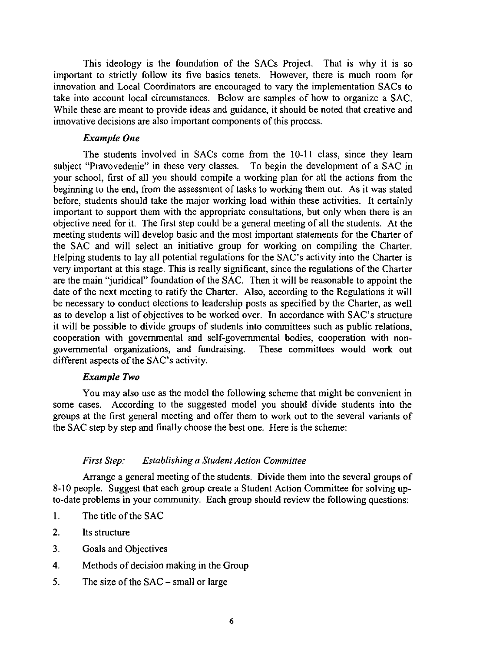This ideology is the foundation of the SACs Project. That is why it is so important to strictly follow its five basics tenets. However, there is much room for innovation and Local Coordinators are encouraged to vary the implementation SACs to take into account local circumstances. Below are samples of how to organize a SAC. While these are meant to provide ideas and guidance, it should be noted that creative and innovative decisions are also important components of this process.

#### *Example One*

The students involved in SACs come from the 10-11 class, since they learn "Pravovedenie" in these very classes. To begin the development of a SAC in subject "Pravovedenie" in these very classes. your school, first of all you should compile a working plan for all the actions from the beginning to the end, from the assessment of tasks to working them out. As it was stated before, students should take the major working load within these activities. It certainly important to support them with the appropriate consultations, but only when there is an objective need for it. The first step could be a general meeting of all the students. At the meeting students will develop basic and the most important statements for the Charter of the SAC and will select an initiative group for working on compiling the Charter. Helping students to lay all potential regulations for the SAC's activity into the Charter is very important at this stage. This is really significant, since the regulations of the Charter are the main "juridical" foundation of the SAC. Then it will be reasonable to appoint the date of the next meeting to ratify the Charter. Also, according to the Regulations it will be necessary to conduct elections to leadership posts as specified by the Charter, as well as to develop a list of objectives to be worked over. In accordance with SAC's structure it will be possible to divide groups of students into committees such as public relations, cooperation with governmental and self-governmental bodies, cooperation with nongovernmental organizations, and fundraising. These committees would work out different aspects of the SAC's activity.

#### *Example Two*

You may also use as the model the following scheme that might be convenient in some cases. According to the suggested model you should divide students into the groups at the first general meeting and offer them to work out to the several variants of the SAC step by step and finally choose the best one. Here is the scheme:

#### *First Step: Establishing a Student Action Committee*

Arrange a general meeting of the students. Divide them into the several groups of 8-10 people. Suggest that each group create a Student Action Committee for solving upto-date problems in your community. Each group should review the following questions:

- 1. The title of the SAC
- 2. Its structure
- 3. Goals and Objectives
- 4. Methods of decision making in the Group
- 5. The size of the SAC small or large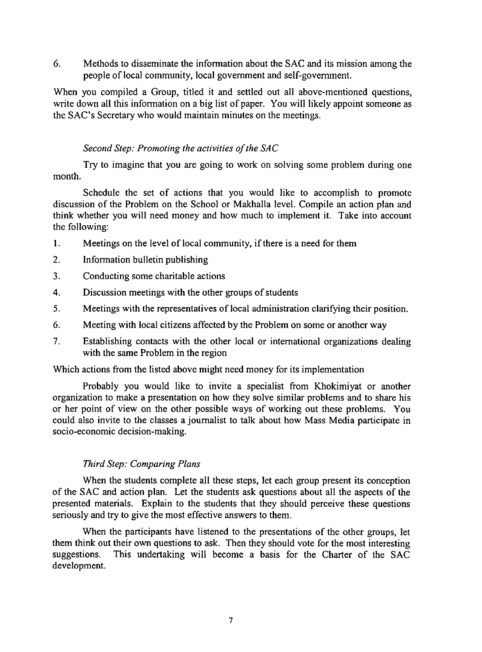6. Methods to disseminate the infonnation about the SAC and its mission among the people of local community, local government and self-government.

When you compiled a Group, titled it and settled out all above-mentioned questions, write down all this information on a big list of paper. You will likely appoint someone as the SAC's Secretary who would maintain minutes on the meetings.

#### *Second Step: Promoting the activities of the SAC*

Try to imagine that you are going to work on solving some problem during one month.

Schedule the set of actions that you would like to accomplish to promote discussion of the Problem on the School or Makhalla level. Compile an action plan and think whether you will need money and how much to implement it. Take into account the following:

- 1. Meetings on the level of local community, if there is a need for them
- 2. Information bulletin publishing
- 3. Conducting some charitable actions
- 4. Discussion meetings with the other groups of students
- 5. Meetings with the representatives of local administration clarifying their position.
- 6. Meeting with local citizens affected by the Problem on some or another way
- 7. Establishing contacts with the other local or international organizations dealing with the same Problem in the region

Which actions from the listed above might need money for its implementation

Probably you would like to invite a specialist from Khokimiyat or another organization to make a presentation on how they solve similar problems and to share his or her point of view on the other possible ways of working out these problems. You could also invite to the classes a journalist to talk about how Mass Media participate in socio-economic decision-making.

## *Third Step: Comparing Plans*

When the students complete all these steps, let each group present its conception of the SAC and action plan. Let the students ask questions about all the aspects of the presented materials. Explain to the students that they should perceive these questions seriously and try to give the most effective answers to them.

When the participants have listened to the presentations of the other groups, let them think out their own questions to ask. Then they should vote for the most interesting suggestions. This undertaking will become a basis for the Charter of the SAC development.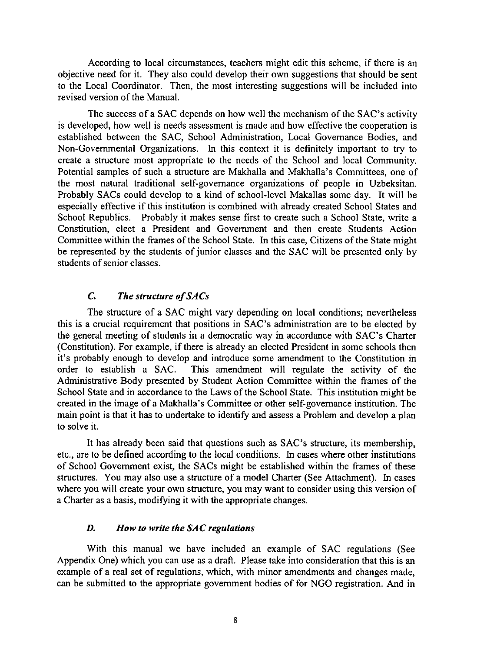According to local circumstances, teachers might edit this scheme, if there is an objective need for it. They also could develop their own suggestions that should be sent to the Local Coordinator. Then, the most interesting suggestions will be included into revised version of the Manual.

The success of a SAC depends on how well the mechanism of the SAC's activity is developed, how well is needs assessment is made and how effective the cooperation is established between the SAC, School Administration, Local Governance Bodies, and Non-Governmental Organizations. In this context it is definitely important to try to create a structure most appropriate to the needs of the School and local Community. Potential samples of such a structure are Makhalla and Makhalla's Committees, one of the most natural traditional self-governance organizations of people in Uzbeksitan. Probably SACs could develop to a kind of school-level Makallas some day. It will be especially effective if this institution is combined with already created School States and School Republics. Probably it makes sense first to create such a School State, write a Constitution, elect a President and Government and then create Students Action Committee within the frames of the School State. In this case, Citizens of the State might be represented by the students of junior classes and the SAC will be presented only by students of senior classes.

## C. *The structure of SA* Cs

The structure of a SAC might vary depending on local conditions; nevertheless this is a crucial requirement that positions in SAC's administration are to be elected by the general meeting of students in a democratic way in accordance with SAC's Charter (Constitution). For example, if there is already an elected President in some schools then it's probably enough to develop and introduce some amendment to the Constitution in order to establish a SAC. This amendment will regulate the activity of the Administrative Body presented by Student Action Committee within the frames of the School State and in accordance to the Laws of the School State. This institution might be created in the image of a Makhalla's Committee or other self-governance institution. The main point is that it has to undertake to identify and assess a Problem and develop a plan to solve it.

It has already been said that questions such as SAC's structure, its membership, etc., are to be defined according to the local conditions. In cases where other institutions of School Government exist, the SACs might be established within the frames of these structures. You may also use a structure of a model Charter (See Attachment). In cases where you will create your own structure, you may want to consider using this version of a Charter as a basis, modifying it with the appropriate changes.

#### *D. How to write the SAC regulations*

With this manual we have included an example of SAC regulations (See Appendix One) which you can use as a draft. Please take into consideration that this is an example of a real set of regulations, which, with minor amendments and changes made, can be submitted to the appropriate government bodies of for NGO registration. And in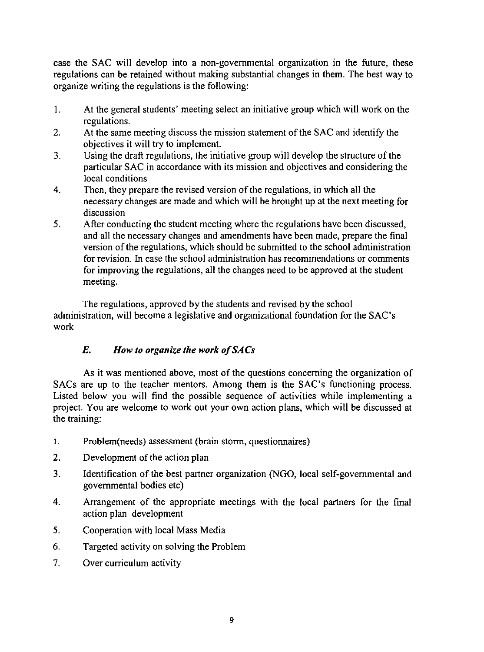case the SAC will develop into a non-governmental organization in the future, these regulations can be retained without making substantial changes in them. The best way to organize writing the regulations is the following:

- I. At the general students' meeting select an initiative group which will work on the regulations.
- 2. At the same meeting discuss the mission statement of the SAC and identify the objectives it will try to implement.
- 3. Using the draft regulations, the initiative group will develop the structure of the particular SAC in accordance with its mission and objectives and considering the local conditions
- 4. Then, they prepare the revised version of the regulations, in which all the necessary changes are made and which will be brought up at the next meeting for discussion
- 5. After conducting the student meeting where the regulations have been discussed, and all the necessary changes and amendments have been made, prepare the final version of the regulations, which should be submitted to the school administration for revision. In case the school administration has recommendations or comments for improving the regulations, all the changes need to be approved at the student meeting.

The regulations, approved by the students and revised by the school administration, will become a legislative and organizational foundation for the SAC's work

## *E. How to organize the work o/SACs*

As it was mentioned above, most of the questions concerning the organization of SACs are up to the teacher mentors. Among them is the SAC's functioning process. Listed below you will find the possible sequence of activities while implementing a project. You are welcome to work out your own action plans, which will be discussed at the training:

- I. Problem(needs) assessment (brain storm, questionnaires)
- 2. Development of the action plan
- 3. Identification of the best partner organization (NGO, local self-governmental and governmental bodies etc)
- 4. Arrangement of the appropriate meetings with the local partners for the final action plan development
- 5. Cooperation with local Mass Media
- 6. Targeted activity on solving the Problem
- 7. Over curriculum activity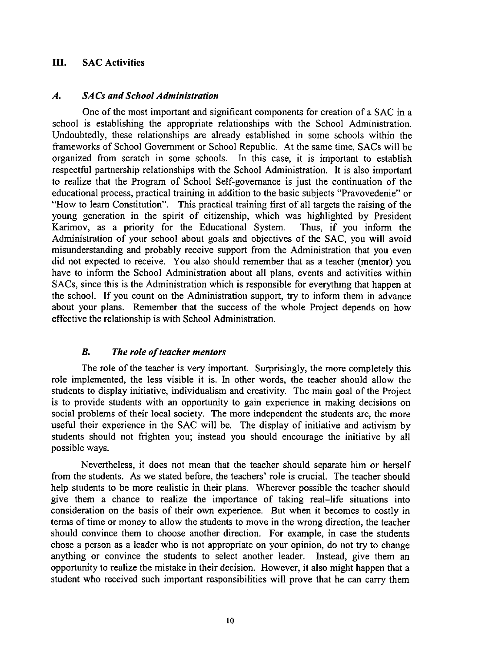## III. SAC Activities

#### *A. SACs and School Administration*

One of the most important and significant components for creation of a SAC in a school is establishing the appropriate relationships with the School Administration. Undoubtedly, these relationships are already established in some schools within the frameworks of School Government or School Republic. At the same time, SACs will be organized from scratch in some schools. In this case, it is important to establish respectful partnership relationships with the School Administration. It is also important to realize that the Program of School Self-governance is just the continuation of the educational process, practical training in addition to the basic subjects "Pravovedenie" or "How to learn Constitution". This practical training first of all targets the raising of the young generation in the spirit of citizenship, which was highlighted by President Karimov, as a priority for the Educational System. Thus, if you inform the Administration of your school about goals and objectives of the SAC, you will avoid misunderstanding and probably receive support from the Administration that you even did not expected to receive. You also should remember that as a teacher (mentor) you have to inform the School Administration about all plans, events and activities within SACs, since this is the Administration which is responsible for everything that happen at the school. If you count on the Administration support, try to inform them in advance about your plans. Remember that the success of the whole Project depends on how effective the relationship is with School Administration.

#### *B. The role of teacher mentors*

The role of the teacher is very important. Surprisingly, the more completely this role implemented, the less visible it is. In other words, the teacher should allow the students to display initiative, individualism and creativity. The main goal of the Project is to provide students with an opportunity to gain experience in making decisions on social problems of their local society. The more independent the students are, the more useful their experience in the SAC will be. The display of initiative and activism by students should not frighten you; instead you should encourage the initiative by all possible ways.

Nevertheless, it does not mean that the teacher should separate him or herself from the students. As we stated before, the teachers' role is crucial. The teacher should help students to be more realistic in their plans. Wherever possible the teacher should give them a chance to realize the importance of taking real-life situations into consideration on the basis of their own experience. But when it becomes to costly in terms of time or money to allow the students to move in the wrong direction, the teacher should convince them to choose another direction. For example, in case the students chose a person as a leader who is not appropriate on your opinion, do not try to change anything or convince the students to select another leader. Instead, give them an opportunity to realize the mistake in their decision. However, it also might happen that a student who received such important responsibilities will prove that he can carry them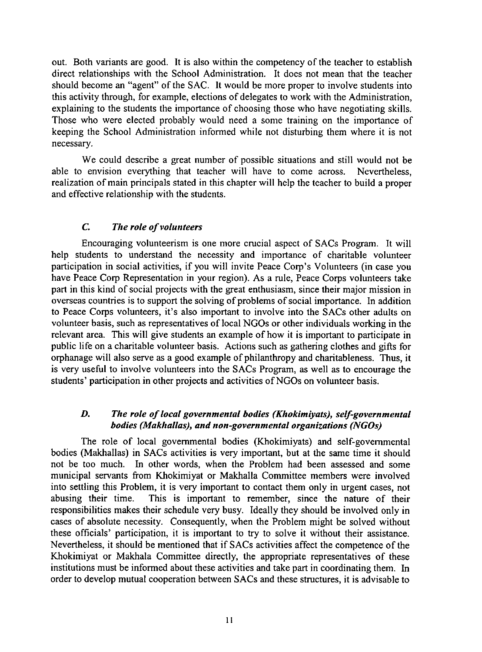out. Both variants are good. It is also within the competency of the teacher to establish direct relationships with the School Administration. It does not mean that the teacher should become an "agent" of the SAC. It would be more proper to involve students into this activity through, for example, elections of delegates to work with the Administration, explaining to the students the importance of choosing those who have negotiating skills. Those who were elected probably would need a some training on the importance of keeping the School Administration informed while not disturbing them where it is not necessary.

We could describe a great number of possible situations and still would not be able to envision everything that teacher will have to come across. Nevertheless, realization of main principals stated in this chapter will help the teacher to build a proper and effective relationship with the students.

### **C.** The role of volunteers

Encouraging volunteerism is one more crucial aspect of SACs Program. It will help students to understand the necessity and importance of charitable volunteer participation in social activities, if you will invite Peace Corp's Volunteers (in case you have Peace Corp Representation in your region). As a rule, Peace Corps volunteers take part in this kind of social projects with the great enthusiasm, since their major mission in overseas countries is to support the solving of problems of social importance. In addition to Peace Corps volunteers, it's also important to involve into the SACs other adults on volunteer basis, such as representatives of local NGOs or other individuals working in the relevant area. This will give students an example of how it is important to participate in public life on a charitable volunteer basis. Actions such as gathering clothes and gifts for orphanage will also serve as a good example of philanthropy and charitableness. Thus, it is very useful to involve volunteers into the SACs Program, as well as to encourage the students' participation in other projects and activities of NGOs on volunteer basis.

### *D. The role 0/ local governmental bodies (Khokimiyats), self-governmental bodies (Makhallas), and non-governmental organizations (NGOs)*

The role of local governmental bodies (Khokimiyats) and self-governmental bodies (Makhallas) in SACs activities is very important, but at the same time it should not be too much. In other words, when the Problem had been assessed and some municipal servants from Khokimiyat or Makhalla Committee members were involved into settling this Problem, it is very important to contact them only in urgent cases, not abusing their time. This is important to remember, since the nature of their responsibilities makes their schedule very busy. Ideally they should be involved only in cases of absolute necessity. Consequently, when the Problem might be solved without these officials' participation, it is important to try to solve it without their assistance. Nevertheless, it should be mentioned that if SACs activities affect the competence of the Khokimiyat or Makhala Committee directly, the appropriate representatives of these institutions must be informed about these activities and take part in coordinating them. In order to develop mutual cooperation between SACs and these structures, it is advisable to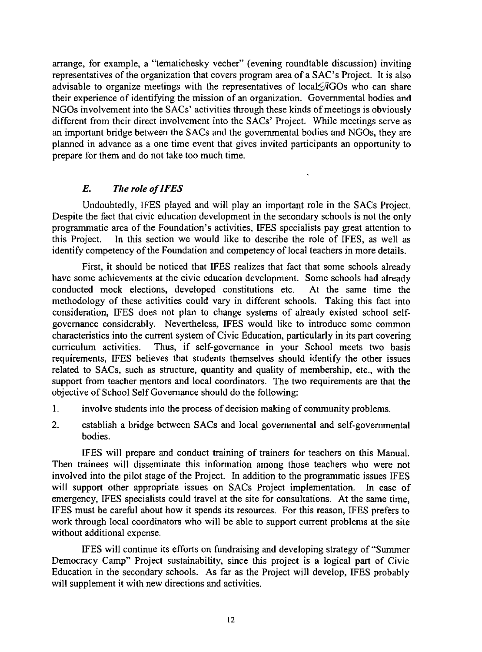arrange, for example, a "tematichesky vecher" (evening roundtable discussion) inviting representatives of the organization that covers program area of a SAC's Project. It is also advisable to organize meetings with the representatives of local FGOs who can share their experience of identifying the mission of an organization. Governmental bodies and NGOs involvement into the SACs' activities through these kinds of meetings is obviously different from their direct involvement into the SACs' Project. While meetings serve as an important bridge between the SACs and the governmental bodies and NGOs, they are planned in advance as a one time event that gives invited participants an opportunity to prepare for them and do not take too much time.

## *E. Tile role of IFES*

Undoubtedly, IFES played and will play an important role in the SACs Project. Despite the fact that civic education development in the secondary schools is not the only programmatic area of the Foundation's activities, IFES specialists pay great attention to this Project. In this section we would like to describe the role of IFES, as well as identify competency of the Foundation and competency of local teachers in more details.

First, it should be noticed that IFES realizes that fact that some schools already have some achievements at the civic education development. Some schools had already conducted mock elections, developed constitutions etc. At the same time the methodology of these activities could vary in different schools. Taking this fact into consideration, IFES does not plan to change systems of already existed school selfgovernance considerably. Nevertheless, IFES would like to introduce some common characteristics into the current system of Civic Education, particularly in its part covering curriculum activities. Thus, if self-governance in your School meets two basis requirements, IFES believes that students themselves should identify the other issues related to SACs, such as structure, quantity and quality of membership, etc., with the support from teacher mentors and local coordinators. The two requirements are that the objective of School Self Governance should do the following:

- I. involve students into the process of decision making of community problems.
- 2. establish a bridge between SACs and local governmental and self-governmental bodies.

IFES will prepare and conduct training of trainers for teachers on this Manual. Then trainees will disseminate this information among those teachers who were not involved into the pilot stage of the Project. In addition to the programmatic issues IFES will support other appropriate issues on SACs Project implementation. In case of emergency, IFES specialists could travel at the site for consultations. At the same time, IFES must be careful about how it spends its resources. For this reason, IFES prefers to work through local coordinators who will be able to support current problems at the site without additional expense.

IFES will continue its efforts on fundraising and developing strategy of "Summer Democracy Camp" Project sustainability, since this project is a logical part of Civic Education in the secondary schools. As far as the Project will develop, IFES probably will supplement it with new directions and activities.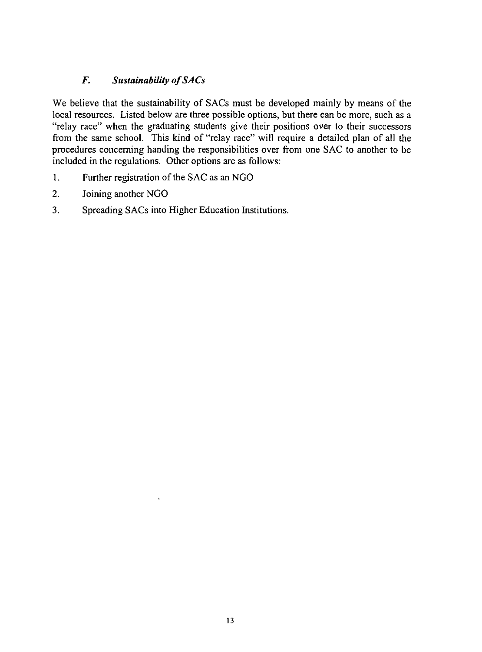## *F.* Sustainability of SACs

We believe that the sustainability of SACs must be developed mainly by means of the local resources. Listed below are three possible options, but there can be more, such as a "relay race" when the graduating students give their positions over to their successors from the same school. This kind of "relay race" will require a detailed plan of all the procedures concerning handing the responsibilities over from one SAC to another to be included in the regulations. Other options are as follows:

- I. Further registration of the SAC as an NGO
- 2. Joining another NGO
- 3. Spreading SACs into Higher Education Institutions.

 $\ddot{\phantom{a}}$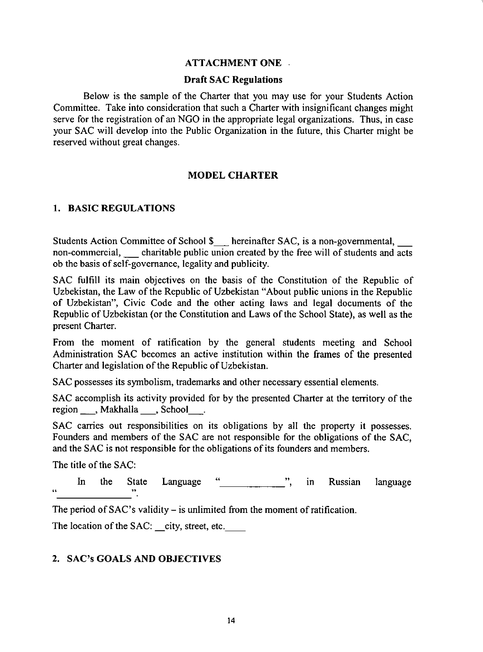#### ATTACHMENT ONE

#### Draft SAC Regulations

Below is the sample of the Charter that you may use for your Students Action Committee. Take into consideration that such a Charter with insignificant changes might serve for the registration of an NGO in the appropriate legal organizations. Thus, in case your SAC will develop into the Public Organization in the future, this Charter might be reserved without great changes.

#### MODEL CHARTER

#### 1. BASIC REGULATIONS

Students Action Committee of School \$ \_ hereinafter SAC, is a non-governmental, non-commercial, charitable public union created by the free will of students and  $\overline{\text{acts}}$ ob the basis of self-governance, legality and publicity.

SAC fulfill its main objectives on the basis of the Constitution of the Republic of Uzbekistan, the Law of the Republic of Uzbekistan "About public unions in the Republic of Uzbekistan", Civic Code and the other acting laws and legal documents of the Republic of Uzbekistan (or the Constitution and Laws of the School State), as well as the present Charter.

From the moment of ratification by the general students meeting and School Administration SAC becomes an active institution within the frames of the presented Charter and legislation of the Republic of Uzbekistan.

SAC possesses its symbolism, trademarks and other necessary essential elements.

SAC accomplish its activity provided for by the presented Charter at the territory of the region \_, Makhalla \_, School .

SAC carries out responsibilities on its obligations by all the property it possesses. Founders and members of the SAC are not responsible for the obligations of the SAC, and the SAC is not responsible for the obligations of its founders and members.

The title of the SAC:

In the State Language " ", in Russian  $\mathbf{r}$   $\mathbf{r}$   $\mathbf{r}$   $\mathbf{r}$   $\mathbf{r}$   $\mathbf{r}$   $\mathbf{r}$   $\mathbf{r}$   $\mathbf{r}$   $\mathbf{r}$   $\mathbf{r}$   $\mathbf{r}$   $\mathbf{r}$   $\mathbf{r}$   $\mathbf{r}$   $\mathbf{r}$   $\mathbf{r}$   $\mathbf{r}$   $\mathbf{r}$   $\mathbf{r}$   $\mathbf{r}$   $\mathbf{r}$   $\mathbf{r}$   $\mathbf{r}$   $\mathbf{$ language

The period of  $SAC$ 's validity – is unlimited from the moment of ratification.

The location of the SAC: city, street, etc.

#### 2. SAC's GOALS AND OBJECTIVES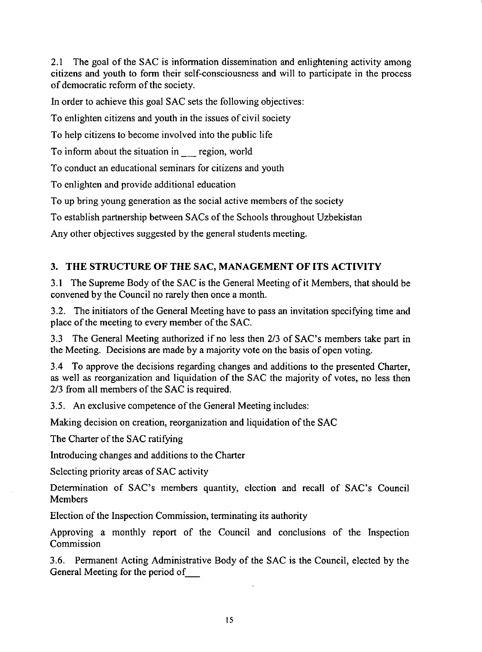2.1 The goal of the SAC is information dissemination and enlightening activity among citizens and youth to fonn their self-consciousness and will to participate in the process of democratic refonn of the society.

In order to achieve this goal SAC sets the following objectives:

To enlighten citizens and youth in the issues of civil society

To help citizens to become involved into the public life

To inform about the situation in region, world

To conduct an educational seminars for citizens and youth

To enlighten and provide additional education

To up bring young generation as the social active members of the society

To establish partnership between SACs of the Schools throughout Uzbekistan

Any other objectives suggested by the general students meeting.

## 3. THE STRUCTURE OF THE SAC, MANAGEMENT OF ITS ACTIVITY

3.1 The Supreme Body of the SAC is the General Meeting of it Members, that should be convened by the Council no rarely then once a month.

3.2. The initiators of the General Meeting have to pass an invitation specifying time and place of the meeting to every member of the SAC.

3.3 The General Meeting authorized if no less then *2/3* of SAC's members take part in the Meeting. Decisions are made by a majority vote on the basis of open voting.

3.4 To approve the decisions regarding changes and additions to the presented Charter, as well as reorganization and liquidation of the SAC the majority of votes, no less then *2/3* from all members of the SAC is required.

3.5. An exclusive competence of the General Meeting includes:

Making decision on creation, reorganization and liquidation of the SAC

The Charter of the SAC ratifying

Introducing changes and additions to the Charter

Selecting priority areas of SAC activity

Detennination of SAC's members quantity, election and recall of SAC's Council Members

Election of the Inspection Commission, terminating its authority

Approving a monthly report of the Council and conclusions of the Inspection Commission

3.6. Pennanent Acting Administrative Body of the SAC is the Council, elected by the General Meeting for the period of\_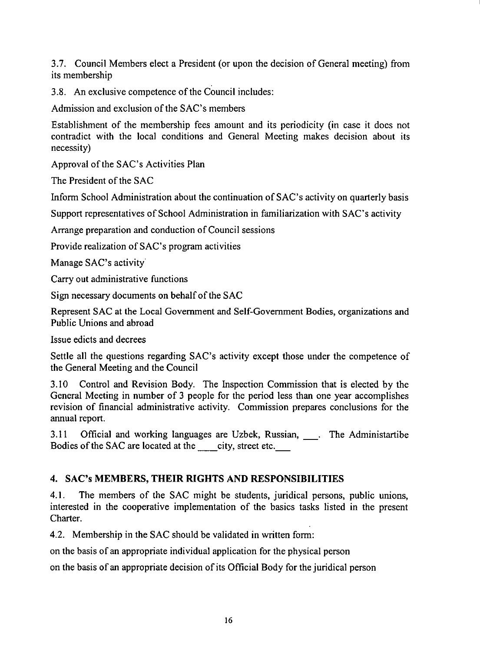3.7. Council Members elect a President (or upon the decision of General meeting) from its membership

3.8. An exclusive competence of the Council includes:

Admission and exclusion of the SAC's members

Establishment of the membership fees amount and its periodicity (in case it does not contradict with the local conditions and General Meeting makes decision about its necessity)

Approval of the SAC's Activities Plan

The President of the SAC

Inform School Administration about the continuation of SAC's activity on quarterly basis

Support representatives of School Administration in familiarization with SAC's activity

Arrange preparation and conduction of Council sessions

Provide realization of SAC's program activities

Manage SAC's activity

Carry out administrative functions

Sign necessary documents on behalf of the SAC

Represent SAC at the Local Government and Self-Government Bodies, organizations and Public Unions and abroad

Issue edicts and decrees

Settle all the questions regarding SAC's activity except those under the competence of the General Meeting and the Council

3.10 Control and Revision Body. The Inspection Commission that is elected by the General Meeting in number of 3 people for the period less than one year accomplishes revision of financial administrative activity. Commission prepares conclusions for the annual report.

3.11 Official and working languages are Uzbek, Russian, \_. The Administartibe Bodies of the SAC are located at the city, street etc.

## 4. SAC's **MEMBERS, THEIR RIGHTS AND RESPONSIBILITIES**

4.1. The members of the SAC might be students, juridical persons, public unions, interested in the cooperative implementation of the basics tasks listed in the present Charter.

4.2. Membership in the SAC should be validated in written form:

on the basis of an appropriate individual application for the physical person

on the basis of an appropriate decision of its Official Body for the juridical person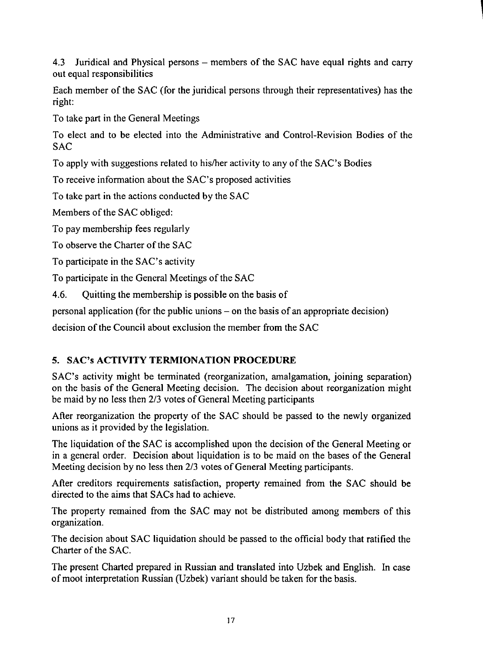4.3 Juridical and Physical persons – members of the SAC have equal rights and carry out equal responsibilities

|<br>|<br>|

Each member of the SAC (for the juridical persons through their representatives) has the right:

To take part in the General Meetings

To elect and to be elected into the Administrative and Control-Revision Bodies of the **SAC** 

To apply with suggestions related to hislher activity to any of the SAC's Bodies

To receive information about the SAC's proposed activities

To take part in the actions conducted by the SAC

Members of the SAC obliged:

To pay membership fees regularly

To observe the Charter of the SAC

To participate in the SAC's activity

To participate in the General Meetings of the SAC

4.6. Quitting the membership is possible on the basis of

personal application (for the public unions - on the basis of an appropriate decision)

decision of the Council about exclusion the member from the SAC

## 5. SAC's **ACTIVITY TERMIONATION PROCEDURE**

SAC's activity might be terminated (reorganization, amalgamation, joining separation) on the basis of the General Meeting decision. The decision about reorganization might be maid by no less then 2/3 votes of General Meeting participants

After reorganization the property of the SAC should be passed to the newly organized unions as it provided by the legislation.

The liquidation of the SAC is accomplished upon the decision of the General Meeting or in a general order. Decision about liquidation is to be maid on the bases of the General Meeting decision by no less then 2/3 votes of General Meeting participants.

After creditors requirements satisfaction, property remained from the SAC should be directed to the aims that SACs had to achieve.

The property remained from the SAC may not be distributed among members of this organization.

The decision about SAC liquidation should be passed to the official body that ratified the Charter of the SAC.

The present Charted prepared in Russian and translated into Uzbek and English. In case of moot interpretation Russian (Uzbek) variant should be taken for the basis.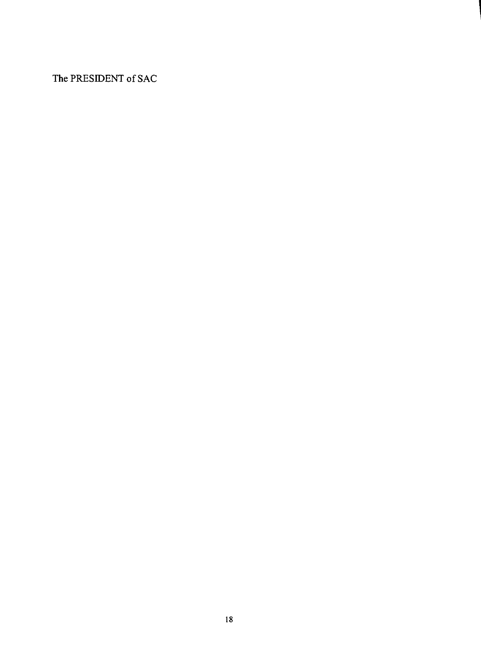**The PRESIDENT** of SAC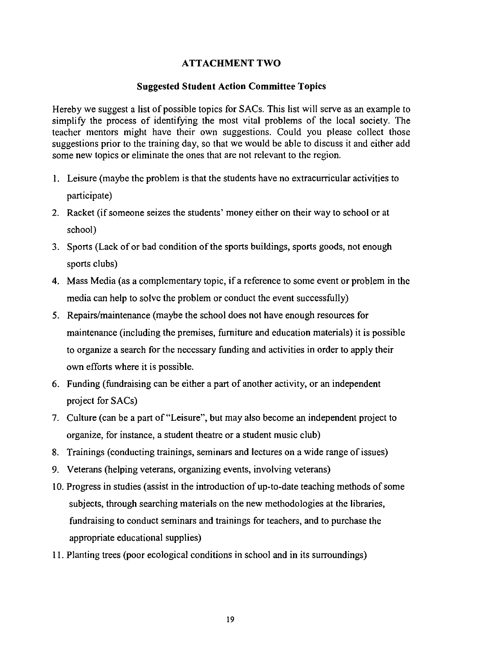## ATTACHMENT TWO

#### Suggested Student Action Committee Topics

Hereby we suggest a list of possible topics for SACs. This list will serve as an example to simplify the process of identifying the most vital problems of the local society. The teacher mentors might have their own suggestions. Could you please collect those suggestions prior to the training day, so that we would be able to discuss it and either add some new topics or eliminate the ones that are not relevant to the region.

- I. Leisure (maybe the problem is that the students have no extracurricular activities to participate)
- 2. Racket (if someone seizes the students' money either on their way to school or at school)
- 3. Sports (Lack of or bad condition of the sports buildings, sports goods, not enough sports clubs)
- 4. Mass Media (as a complementary topic, if a reference to some event or problem in the media can help to solve the problem or conduct the event successfully)
- 5. Repairs/maintenance (maybe the school does not have enough resources for maintenance (including the premises, furniture and education materials) it is possible to organize a search for the necessary funding and activities in order to apply their own efforts where it is possible.
- 6. Funding (fundraising can be either a part of another activity, or an independent project for SACs)
- 7. Culture (can be a part of "Leisure", but may also become an independent project to organize, for instance, a student theatre or a student music club)
- 8. Trainings (conducting trainings, seminars and lectures on a wide range of issues)
- 9. Veterans (helping veterans, organizing events, involving veterans)
- 10. Progress in studies (assist in the introduction of up-to-date teaching methods of some subjects, through searching materials on the new methodologies at the libraries, fundraising to conduct seminars and trainings for teachers, and to purchase the appropriate educational supplies)
- 11. Planting trees (poor ecological conditions in school and in its surroundings)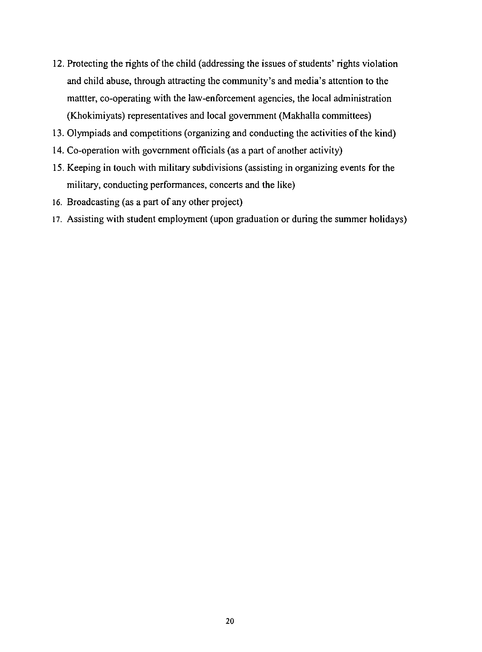- 12. Protecting the rights of the child (addressing the issues of students' rights violation and child abuse, through attracting the community's and media's attention to the mattter, co-operating with the law-enforcement agencies, the local administration (Khokimiyats) representatives and local government (Makhalla committees)
- 13. Olympiads and competitions (organizing and conducting the activities of the kind)
- 14. Co-operation with government officials (as a part of another activity)
- 15. Keeping in touch with military subdivisions (assisting in organizing events for the military, conducting performances, concerts and the like)
- 16. Broadcasting (as a part of any other project)
- 17. Assisting with student employment (upon graduation or during the summer holidays)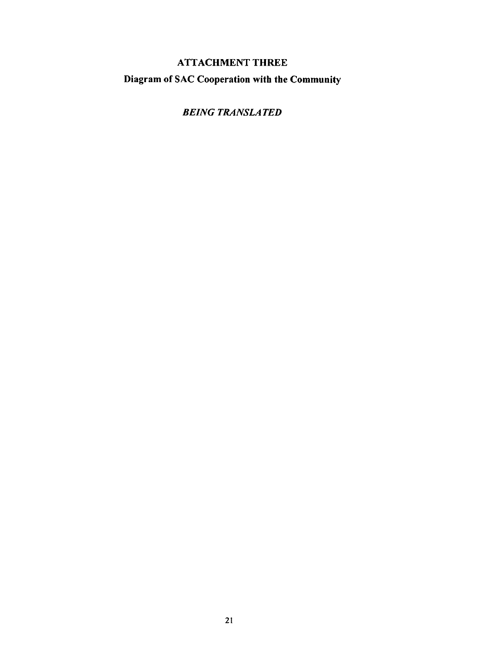## ATTACHMENT THREE Diagram of SAC Cooperation with the Community

*BEING TRANSLATED*